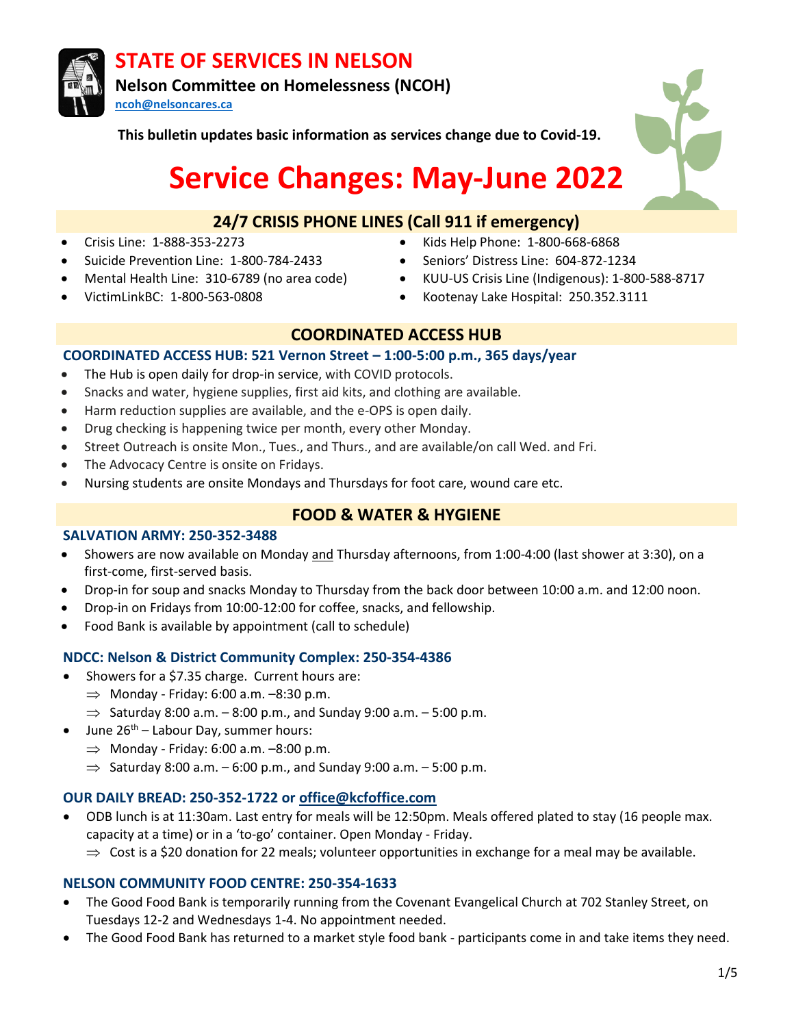

**This bulletin updates basic information as services change due to Covid-19.**

# **Service Changes: May-June 2022**

# **24/7 CRISIS PHONE LINES (Call 911 if emergency)**

- 
- Suicide Prevention Line: 1-800-784-2433 Seniors' Distress Line: 604-872-1234
- 
- 
- Crisis Line: 1-888-353-2273 Kids Help Phone: 1-800-668-6868
	-
- Mental Health Line: 310-6789 (no area code) KUU-US Crisis Line (Indigenous): 1-800-588-8717
- VictimLinkBC: 1-800-563-0808 Kootenay Lake Hospital: 250.352.3111

# **COORDINATED ACCESS HUB**

#### **COORDINATED ACCESS HUB: 521 Vernon Street – 1:00-5:00 p.m., 365 days/year**

- The Hub is open daily for drop-in service, with COVID protocols.
- Snacks and water, hygiene supplies, first aid kits, and clothing are available.
- Harm reduction supplies are available, and the e-OPS is open daily.
- Drug checking is happening twice per month, every other Monday.
- Street Outreach is onsite Mon., Tues., and Thurs., and are available/on call Wed. and Fri.
- The Advocacy Centre is onsite on Fridays.
- Nursing students are onsite Mondays and Thursdays for foot care, wound care etc.

# **FOOD & WATER & HYGIENE**

#### **SALVATION ARMY: 250-352-3488**

- Showers are now available on Monday and Thursday afternoons, from 1:00-4:00 (last shower at 3:30), on a first-come, first-served basis.
- Drop-in for soup and snacks Monday to Thursday from the back door between 10:00 a.m. and 12:00 noon.
- Drop-in on Fridays from 10:00-12:00 for coffee, snacks, and fellowship.
- Food Bank is available by appointment (call to schedule)

## **NDCC: Nelson & District Community Complex: 250-354-4386**

- Showers for a \$7.35 charge. Current hours are:
	- $\Rightarrow$  Monday Friday: 6:00 a.m.  $-8:30$  p.m.
	- $\Rightarrow$  Saturday 8:00 a.m. 8:00 p.m., and Sunday 9:00 a.m. 5:00 p.m.
- June  $26^{th}$  Labour Day, summer hours:
	- $\Rightarrow$  Monday Friday: 6:00 a.m.  $-8:00$  p.m.
	- $\Rightarrow$  Saturday 8:00 a.m. 6:00 p.m., and Sunday 9:00 a.m. 5:00 p.m.

## **OUR DAILY BREAD: 250-352-1722 or [office@kcfoffice.com](mailto:office@kcfoffice.com)**

• ODB lunch is at 11:30am. Last entry for meals will be 12:50pm. Meals offered plated to stay (16 people max. capacity at a time) or in a 'to-go' container. Open Monday - Friday.

 $\Rightarrow$  Cost is a \$20 donation for 22 meals; volunteer opportunities in exchange for a meal may be available.

## **NELSON COMMUNITY FOOD CENTRE: 250-354-1633**

- The Good Food Bank is temporarily running from the Covenant Evangelical Church at 702 Stanley Street, on Tuesdays 12-2 and Wednesdays 1-4. No appointment needed.
- The Good Food Bank has returned to a market style food bank participants come in and take items they need.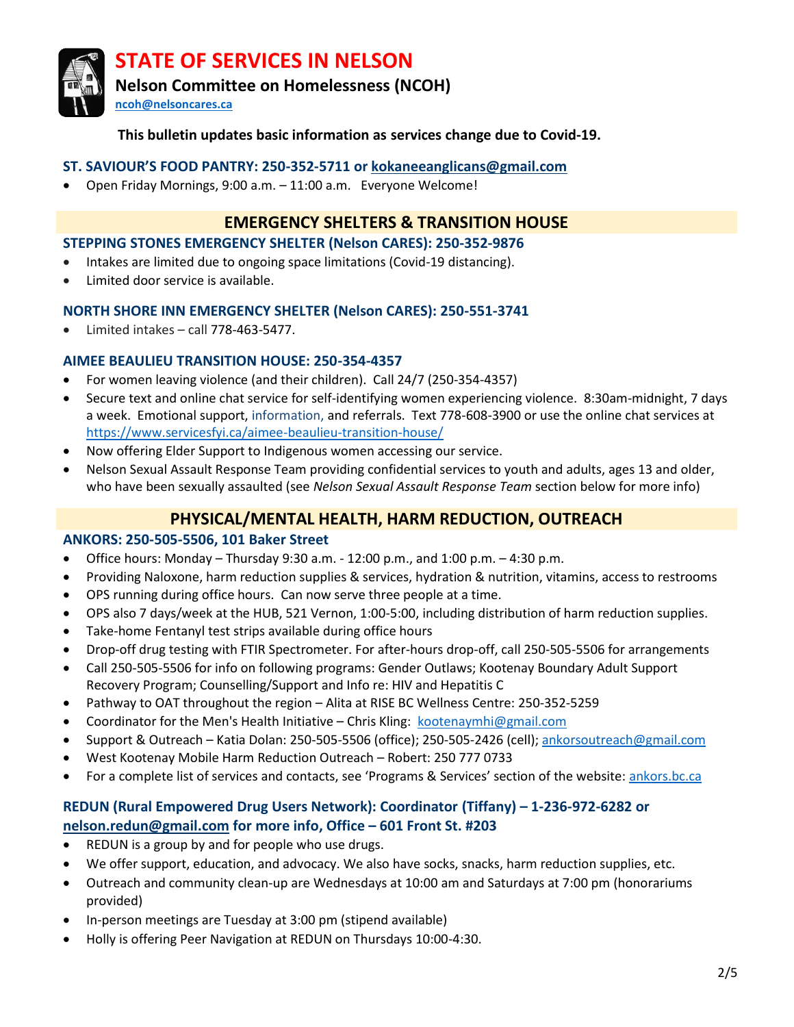

**Nelson Committee on Homelessness (NCOH)** 

**[ncoh@nelsoncares.ca](mailto:ncoh@nelsoncares.ca)**

## **This bulletin updates basic information as services change due to Covid-19.**

#### **ST. SAVIOUR'S FOOD PANTRY: 250-352-5711 or [kokaneeanglicans@gmail.com](mailto:kokaneeanglicans@gmail.com)**

• Open Friday Mornings, 9:00 a.m. – 11:00 a.m. Everyone Welcome!

# **EMERGENCY SHELTERS & TRANSITION HOUSE**

#### **STEPPING STONES EMERGENCY SHELTER (Nelson CARES): 250-352-9876**

- Intakes are limited due to ongoing space limitations (Covid-19 distancing).
- Limited door service is available.

#### **NORTH SHORE INN EMERGENCY SHELTER (Nelson CARES): 250-551-3741**

• Limited intakes – call 778-463-5477.

#### **AIMEE BEAULIEU TRANSITION HOUSE: 250-354-4357**

- For women leaving violence (and their children). Call 24/7 (250-354-4357)
- Secure text and online chat service for self-identifying women experiencing violence. 8:30am-midnight, 7 days a week. Emotional support, information, and referrals. Text 778-608-3900 or use the online chat services at <https://www.servicesfyi.ca/aimee-beaulieu-transition-house/>
- Now offering Elder Support to Indigenous women accessing our service.
- Nelson Sexual Assault Response Team providing confidential services to youth and adults, ages 13 and older, who have been sexually assaulted (see *Nelson Sexual Assault Response Team* section below for more info)

# **PHYSICAL/MENTAL HEALTH, HARM REDUCTION, OUTREACH**

#### **ANKORS: 250-505-5506, 101 Baker Street**

- Office hours: Monday Thursday 9:30 a.m. 12:00 p.m., and 1:00 p.m.  $-4:30$  p.m.
- Providing Naloxone, harm reduction supplies & services, hydration & nutrition, vitamins, access to restrooms
- OPS running during office hours. Can now serve three people at a time.
- OPS also 7 days/week at the HUB, 521 Vernon, 1:00-5:00, including distribution of harm reduction supplies.
- Take-home Fentanyl test strips available during office hours
- Drop-off drug testing with FTIR Spectrometer. For after-hours drop-off, call 250-505-5506 for arrangements
- Call 250-505-5506 for info on following programs: Gender Outlaws; Kootenay Boundary Adult Support Recovery Program; Counselling/Support and Info re: HIV and Hepatitis C
- Pathway to OAT throughout the region Alita at RISE BC Wellness Centre: 250-352-5259
- Coordinator for the Men's Health Initiative Chris Kling: [kootenaymhi@gmail.com](mailto:kootenaymhi@gmail.com)
- Support & Outreach Katia Dolan: 250-505-5506 (office); 250-505-2426 (cell); [ankorsoutreach@gmail.com](mailto:ankorsoutreach@gmail.com)
- West Kootenay Mobile Harm Reduction Outreach Robert: 250 777 0733
- For a complete list of services and contacts, see 'Programs & Services' section of the website: [ankors.bc.ca](http://ankors.bc.ca/)

## **REDUN (Rural Empowered Drug Users Network): Coordinator (Tiffany) – 1-236-972-6282 or [nelson.redun@gmail.com](mailto:nelson.redun@gmail.com) for more info, Office – 601 Front St. #203**

- REDUN is a group by and for people who use drugs.
- We offer support, education, and advocacy. We also have socks, snacks, harm reduction supplies, etc.
- Outreach and community clean-up are Wednesdays at 10:00 am and Saturdays at 7:00 pm (honorariums provided)
- In-person meetings are Tuesday at 3:00 pm (stipend available)
- Holly is offering Peer Navigation at REDUN on Thursdays 10:00-4:30.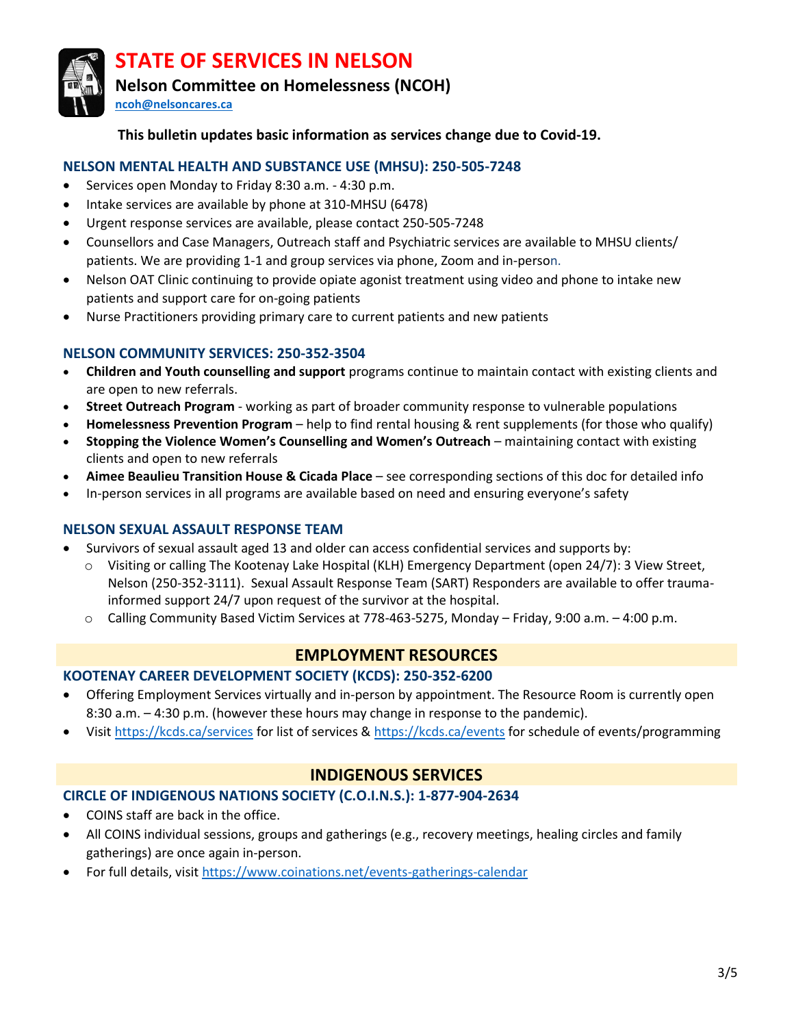

**Nelson Committee on Homelessness (NCOH)** 

**[ncoh@nelsoncares.ca](mailto:ncoh@nelsoncares.ca)**

# **This bulletin updates basic information as services change due to Covid-19.**

# **NELSON MENTAL HEALTH AND SUBSTANCE USE (MHSU): 250-505-7248**

- Services open Monday to Friday 8:30 a.m. 4:30 p.m.
- Intake services are available by phone at 310-MHSU (6478)
- Urgent response services are available, please contact 250-505-7248
- Counsellors and Case Managers, Outreach staff and Psychiatric services are available to MHSU clients/ patients. We are providing 1-1 and group services via phone, Zoom and in-person.
- Nelson OAT Clinic continuing to provide opiate agonist treatment using video and phone to intake new patients and support care for on-going patients
- Nurse Practitioners providing primary care to current patients and new patients

## **NELSON COMMUNITY SERVICES: 250-352-3504**

- **Children and Youth counselling and support** programs continue to maintain contact with existing clients and are open to new referrals.
- **Street Outreach Program** working as part of broader community response to vulnerable populations
- **Homelessness Prevention Program** help to find rental housing & rent supplements (for those who qualify)
- **Stopping the Violence Women's Counselling and Women's Outreach** maintaining contact with existing clients and open to new referrals
- **Aimee Beaulieu Transition House & Cicada Place**  see corresponding sections of this doc for detailed info
- In-person services in all programs are available based on need and ensuring everyone's safety

## **NELSON SEXUAL ASSAULT RESPONSE TEAM**

- Survivors of sexual assault aged 13 and older can access confidential services and supports by:
	- o Visiting or calling The Kootenay Lake Hospital (KLH) Emergency Department (open 24/7): 3 View Street, Nelson (250-352-3111). Sexual Assault Response Team (SART) Responders are available to offer traumainformed support 24/7 upon request of the survivor at the hospital.
	- o Calling Community Based Victim Services at 778-463-5275, Monday Friday, 9:00 a.m. 4:00 p.m.

# **EMPLOYMENT RESOURCES**

## **KOOTENAY CAREER DEVELOPMENT SOCIETY (KCDS): 250-352-6200**

- Offering Employment Services virtually and in-person by appointment. The Resource Room is currently open 8:30 a.m. – 4:30 p.m. (however these hours may change in response to the pandemic).
- Visit [https://kcds.ca/services](https://can01.safelinks.protection.outlook.com/?url=https%3A%2F%2Fkcds.ca%2Fservices&data=04%7C01%7Channah.roy%40kcds.ca%7C6da41cb8a5124b40446908d9d178ecf5%7C4b35196abb5a4805a8124787c112e21b%7C0%7C0%7C637771139565031335%7CUnknown%7CTWFpbGZsb3d8eyJWIjoiMC4wLjAwMDAiLCJQIjoiV2luMzIiLCJBTiI6Ik1haWwiLCJXVCI6Mn0%3D%7C3000&sdata=f8uT%2B8bhh5PYnh0RW0nfX%2FvV40jHALQxO06Rm9LKbsg%3D&reserved=0) for list of services [& https://kcds.ca/events](https://can01.safelinks.protection.outlook.com/?url=https%3A%2F%2Fkcds.ca%2Fevents&data=04%7C01%7Channah.roy%40kcds.ca%7C6da41cb8a5124b40446908d9d178ecf5%7C4b35196abb5a4805a8124787c112e21b%7C0%7C0%7C637771139565031335%7CUnknown%7CTWFpbGZsb3d8eyJWIjoiMC4wLjAwMDAiLCJQIjoiV2luMzIiLCJBTiI6Ik1haWwiLCJXVCI6Mn0%3D%7C3000&sdata=8CpiIrUmej3eIkS3A9q1yTXR46ejku5q%2F9H3E1K%2Fu4k%3D&reserved=0) for schedule of events/programming

# **INDIGENOUS SERVICES**

## **CIRCLE OF INDIGENOUS NATIONS SOCIETY (C.O.I.N.S.): 1-877-904-2634**

- COINS staff are back in the office.
- All COINS individual sessions, groups and gatherings (e.g., recovery meetings, healing circles and family gatherings) are once again in-person.
- For full details, visi[t https://www.coinations.net/events-gatherings-calendar](https://www.coinations.net/events-gatherings-calendar)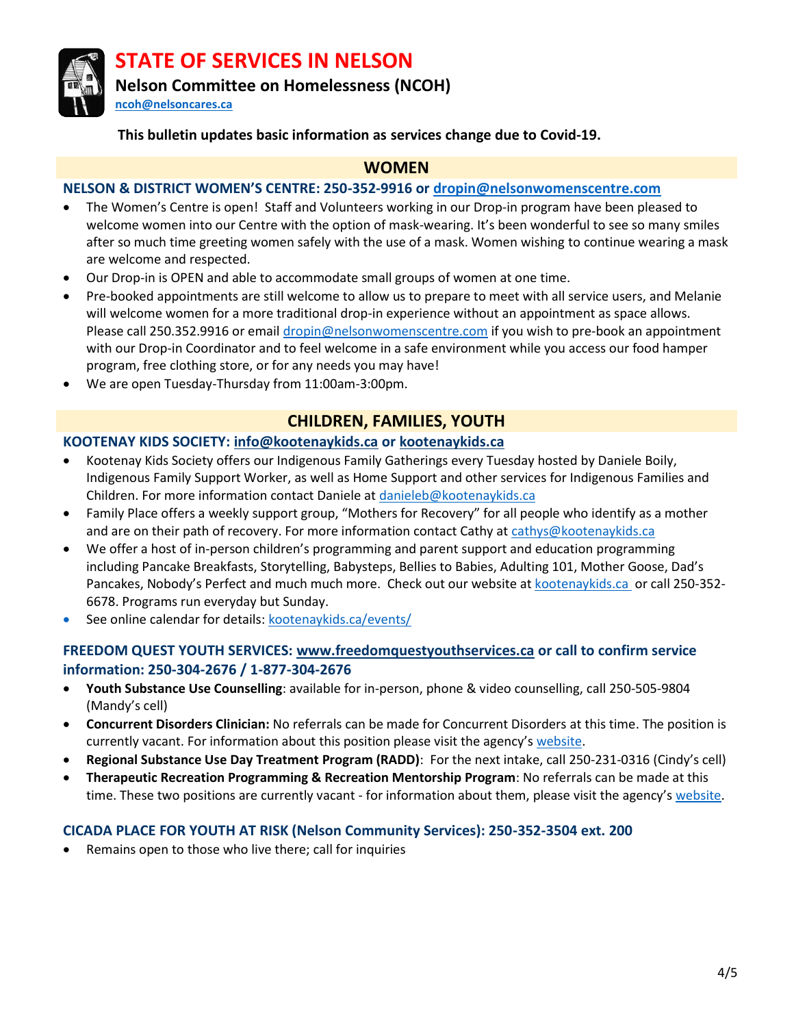

**Nelson Committee on Homelessness (NCOH)** 

**[ncoh@nelsoncares.ca](mailto:ncoh@nelsoncares.ca)**

#### **This bulletin updates basic information as services change due to Covid-19.**

## **WOMEN**

#### **NELSON & DISTRICT WOMEN'S CENTRE: 250-352-9916 or [dropin@nelsonwomenscentre.com](mailto:dropin@nelsonwomenscentre.com)**

- The Women's Centre is open! Staff and Volunteers working in our Drop-in program have been pleased to welcome women into our Centre with the option of mask-wearing. It's been wonderful to see so many smiles after so much time greeting women safely with the use of a mask. Women wishing to continue wearing a mask are welcome and respected.
- Our Drop-in is OPEN and able to accommodate small groups of women at one time.
- Pre-booked appointments are still welcome to allow us to prepare to meet with all service users, and Melanie will welcome women for a more traditional drop-in experience without an appointment as space allows. Please call 250.352.9916 or email [dropin@nelsonwomenscentre.com](mailto:dropin@nelsonwomenscentre.com) if you wish to pre-book an appointment with our Drop-in Coordinator and to feel welcome in a safe environment while you access our food hamper program, free clothing store, or for any needs you may have!
- We are open Tuesday-Thursday from 11:00am-3:00pm.

# **CHILDREN, FAMILIES, YOUTH**

# **KOOTENAY KIDS SOCIETY: [info@kootenaykids.ca](mailto:info@kootenaykids.ca) or [kootenaykids.ca](http://www.kootenaykids.ca/)**

- Kootenay Kids Society offers our Indigenous Family Gatherings every Tuesday hosted by Daniele Boily, Indigenous Family Support Worker, as well as Home Support and other services for Indigenous Families and Children. For more information contact Daniele at [danieleb@kootenaykids.ca](mailto:danieleb@kootenaykids.ca)
- Family Place offers a weekly support group, "Mothers for Recovery" for all people who identify as a mother and are on their path of recovery. For more information contact Cathy a[t cathys@kootenaykids.ca](mailto:cathys@kootenaykids.ca)
- We offer a host of in-person children's programming and parent support and education programming including Pancake Breakfasts, Storytelling, Babysteps, Bellies to Babies, Adulting 101, Mother Goose, Dad's Pancakes, Nobody's Perfect and much much more. Check out our website a[t kootenaykids.ca](http://www.kootenaykids.ca/) or call 250-352- 6678. Programs run everyday but Sunday.
- See online calendar for details: [kootenaykids.ca/events/](https://kootenaykids.ca/events/)

## **FREEDOM QUEST YOUTH SERVICES: [www.freedomquestyouthservices.ca](http://www.freedomquestyouthservices.ca/) or call to confirm service information: 250-304-2676 / 1-877-304-2676**

- **Youth Substance Use Counselling**: available for in-person, phone & video counselling, call 250-505-9804 (Mandy's cell)
- **Concurrent Disorders Clinician:** No referrals can be made for Concurrent Disorders at this time. The position is currently vacant. For information about this position please visit the agency's [website.](https://www.freedomquestyouthservices.ca/work-with-us.html)
- **Regional Substance Use Day Treatment Program (RADD)**: For the next intake, call 250-231-0316 (Cindy's cell)
- **Therapeutic Recreation Programming & Recreation Mentorship Program**: No referrals can be made at this time. These two positions are currently vacant - for information about them, please visit the agency's [website.](https://www.freedomquestyouthservices.ca/work-with-us.html)

#### **CICADA PLACE FOR YOUTH AT RISK (Nelson Community Services): 250-352-3504 ext. 200**

Remains open to those who live there; call for inquiries